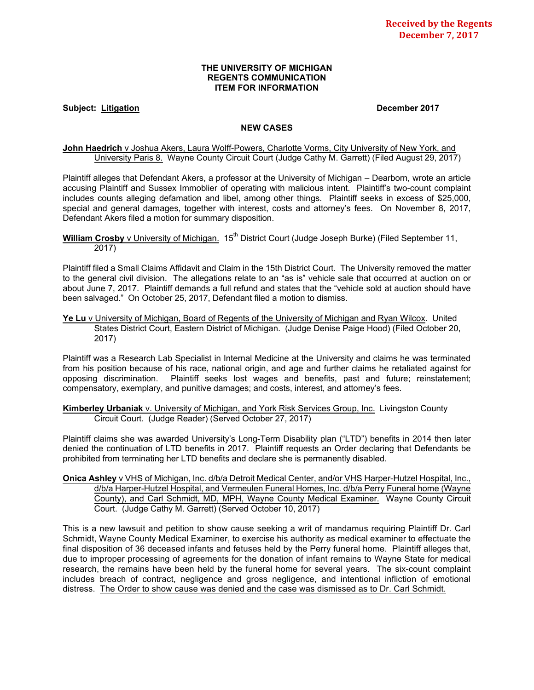## **THE UNIVERSITY OF MICHIGAN REGENTS COMMUNICATION ITEM FOR INFORMATION**

## **Subject: Litigation December 2017**

#### **NEW CASES**

## John Haedrich v Joshua Akers, Laura Wolff-Powers, Charlotte Vorms, City University of New York, and University Paris 8. Wayne County Circuit Court (Judge Cathy M. Garrett) (Filed August 29, 2017)

Plaintiff alleges that Defendant Akers, a professor at the University of Michigan – Dearborn, wrote an article accusing Plaintiff and Sussex Immoblier of operating with malicious intent. Plaintiff's two-count complaint includes counts alleging defamation and libel, among other things. Plaintiff seeks in excess of \$25,000, special and general damages, together with interest, costs and attorney's fees. On November 8, 2017, Defendant Akers filed a motion for summary disposition.

## **William Crosby** v University of Michigan. 15<sup>th</sup> District Court (Judge Joseph Burke) (Filed September 11, 2017)

Plaintiff filed a Small Claims Affidavit and Claim in the 15th District Court. The University removed the matter to the general civil division. The allegations relate to an "as is" vehicle sale that occurred at auction on or about June 7, 2017. Plaintiff demands a full refund and states that the "vehicle sold at auction should have been salvaged." On October 25, 2017, Defendant filed a motion to dismiss.

#### **Ye Lu** v University of Michigan, Board of Regents of the University of Michigan and Ryan Wilcox. United States District Court, Eastern District of Michigan. (Judge Denise Paige Hood) (Filed October 20, 2017)

Plaintiff was a Research Lab Specialist in Internal Medicine at the University and claims he was terminated from his position because of his race, national origin, and age and further claims he retaliated against for opposing discrimination. Plaintiff seeks lost wages and benefits, past and future; reinstatement; compensatory, exemplary, and punitive damages; and costs, interest, and attorney's fees.

**Kimberley Urbaniak** v. University of Michigan, and York Risk Services Group, Inc. Livingston County Circuit Court. (Judge Reader) (Served October 27, 2017)

Plaintiff claims she was awarded University's Long-Term Disability plan ("LTD") benefits in 2014 then later denied the continuation of LTD benefits in 2017. Plaintiff requests an Order declaring that Defendants be prohibited from terminating her LTD benefits and declare she is permanently disabled.

**Onica Ashley** v VHS of Michigan, Inc. d/b/a Detroit Medical Center, and/or VHS Harper-Hutzel Hospital, Inc., d/b/a Harper-Hutzel Hospital, and Vermeulen Funeral Homes, Inc. d/b/a Perry Funeral home (Wayne County), and Carl Schmidt, MD, MPH, Wayne County Medical Examiner. Wayne County Circuit Court. (Judge Cathy M. Garrett) (Served October 10, 2017)

This is a new lawsuit and petition to show cause seeking a writ of mandamus requiring Plaintiff Dr. Carl Schmidt, Wayne County Medical Examiner, to exercise his authority as medical examiner to effectuate the final disposition of 36 deceased infants and fetuses held by the Perry funeral home. Plaintiff alleges that, due to improper processing of agreements for the donation of infant remains to Wayne State for medical research, the remains have been held by the funeral home for several years. The six-count complaint includes breach of contract, negligence and gross negligence, and intentional infliction of emotional distress. The Order to show cause was denied and the case was dismissed as to Dr. Carl Schmidt.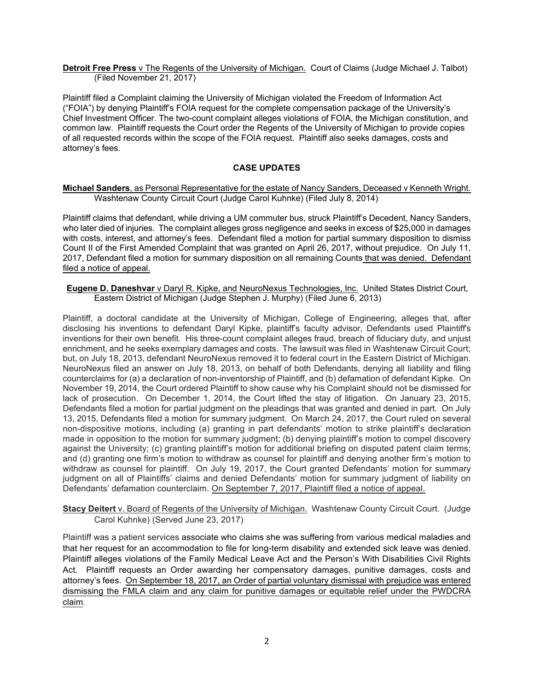**Detroit Free Press** v The Regents of the University of Michigan. Court of Claims (Judge Michael J. Talbot) (Filed November 21, 2017)

Plaintiff filed a Complaint claiming the University of Michigan violated the Freedom of Information Act ("FOIA") by denying Plaintiff's FOIA request for the complete compensation package of the University's Chief Investment Officer. The two-count complaint alleges violations of FOIA, the Michigan constitution, and common law. Plaintiff requests the Court order the Regents of the University of Michigan to provide copies of all requested records within the scope of the FOIA request. Plaintiff also seeks damages, costs and attorney's fees.

# **CASE UPDATES**

## **Michael Sanders**, as Personal Representative for the estate of Nancy Sanders, Deceased v Kenneth Wright. Washtenaw County Circuit Court (Judge Carol Kuhnke) (Filed July 8, 2014)

Plaintiff claims that defendant, while driving a UM commuter bus, struck Plaintiff's Decedent, Nancy Sanders, who later died of injuries. The complaint alleges gross negligence and seeks in excess of \$25,000 in damages with costs, interest, and attorney's fees. Defendant filed a motion for partial summary disposition to dismiss Count II of the First Amended Complaint that was granted on April 26, 2017, without prejudice. On July 11, 2017, Defendant filed a motion for summary disposition on all remaining Counts that was denied. Defendant filed a notice of appeal.

**Eugene D. Daneshvar** v Daryl R. Kipke, and NeuroNexus Technologies, Inc. United States District Court, Eastern District of Michigan (Judge Stephen J. Murphy) (Filed June 6, 2013)

Plaintiff, a doctoral candidate at the University of Michigan, College of Engineering, alleges that, after disclosing his inventions to defendant Daryl Kipke, plaintiff's faculty advisor, Defendants used Plaintiff's inventions for their own benefit. His three-count complaint alleges fraud, breach of fiduciary duty, and unjust enrichment, and he seeks exemplary damages and costs. The lawsuit was filed in Washtenaw Circuit Court; but, on July 18, 2013, defendant NeuroNexus removed it to federal court in the Eastern District of Michigan. NeuroNexus filed an answer on July 18, 2013, on behalf of both Defendants, denying all liability and filing counterclaims for (a) a declaration of non-inventorship of Plaintiff, and (b) defamation of defendant Kipke. On November 19, 2014, the Court ordered Plaintiff to show cause why his Complaint should not be dismissed for lack of prosecution. On December 1, 2014, the Court lifted the stay of litigation. On January 23, 2015, Defendants filed a motion for partial judgment on the pleadings that was granted and denied in part. On July 13, 2015, Defendants filed a motion for summary judgment. On March 24, 2017, the Court ruled on several non-dispositive motions, including (a) granting in part defendants' motion to strike plaintiff's declaration made in opposition to the motion for summary judgment; (b) denying plaintiff's motion to compel discovery against the University; (c) granting plaintiff's motion for additional briefing on disputed patent claim terms; and (d) granting one firm's motion to withdraw as counsel for plaintiff and denying another firm's motion to withdraw as counsel for plaintiff. On July 19, 2017, the Court granted Defendants' motion for summary judgment on all of Plaintiffs' claims and denied Defendants' motion for summary judgment of liability on Defendants' defamation counterclaim. On September 7, 2017, Plaintiff filed a notice of appeal.

**Stacy Deitert** v. Board of Regents of the University of Michigan. Washtenaw County Circuit Court. (Judge Carol Kuhnke) (Served June 23, 2017)

Plaintiff was a patient services associate who claims she was suffering from various medical maladies and that her request for an accommodation to file for long-term disability and extended sick leave was denied. Plaintiff alleges violations of the Family Medical Leave Act and the Person's With Disabilities Civil Rights Act. Plaintiff requests an Order awarding her compensatory damages, punitive damages, costs and attorney's fees. On September 18, 2017, an Order of partial voluntary dismissal with prejudice was entered dismissing the FMLA claim and any claim for punitive damages or equitable relief under the PWDCRA claim.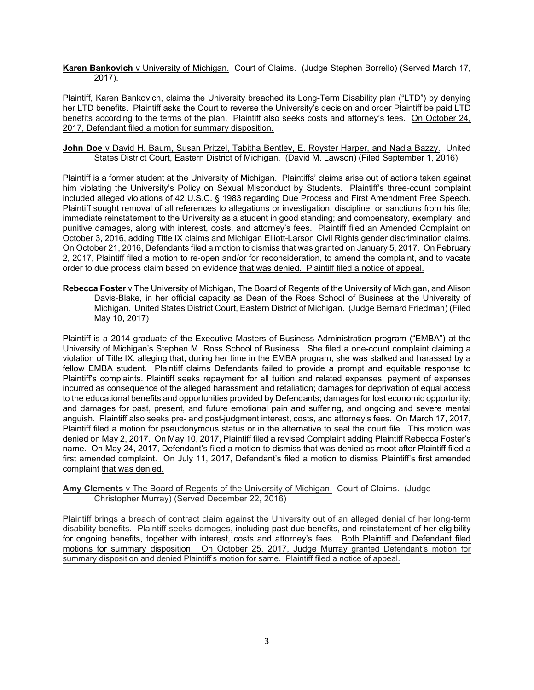## **Karen Bankovich** v University of Michigan. Court of Claims. (Judge Stephen Borrello) (Served March 17, 2017).

Plaintiff, Karen Bankovich, claims the University breached its Long-Term Disability plan ("LTD") by denying her LTD benefits. Plaintiff asks the Court to reverse the University's decision and order Plaintiff be paid LTD benefits according to the terms of the plan. Plaintiff also seeks costs and attorney's fees. On October 24, 2017, Defendant filed a motion for summary disposition.

## **John Doe** v David H. Baum, Susan Pritzel, Tabitha Bentley, E. Royster Harper, and Nadia Bazzy. United States District Court, Eastern District of Michigan. (David M. Lawson) (Filed September 1, 2016)

Plaintiff is a former student at the University of Michigan. Plaintiffs' claims arise out of actions taken against him violating the University's Policy on Sexual Misconduct by Students. Plaintiff's three-count complaint included alleged violations of 42 U.S.C. § 1983 regarding Due Process and First Amendment Free Speech. Plaintiff sought removal of all references to allegations or investigation, discipline, or sanctions from his file; immediate reinstatement to the University as a student in good standing; and compensatory, exemplary, and punitive damages, along with interest, costs, and attorney's fees. Plaintiff filed an Amended Complaint on October 3, 2016, adding Title IX claims and Michigan Elliott-Larson Civil Rights gender discrimination claims. On October 21, 2016, Defendants filed a motion to dismiss that was granted on January 5, 2017. On February 2, 2017, Plaintiff filed a motion to re-open and/or for reconsideration, to amend the complaint, and to vacate order to due process claim based on evidence that was denied. Plaintiff filed a notice of appeal.

**Rebecca Foster** v The University of Michigan, The Board of Regents of the University of Michigan, and Alison Davis-Blake, in her official capacity as Dean of the Ross School of Business at the University of Michigan. United States District Court, Eastern District of Michigan. (Judge Bernard Friedman) (Filed May 10, 2017)

Plaintiff is a 2014 graduate of the Executive Masters of Business Administration program ("EMBA") at the University of Michigan's Stephen M. Ross School of Business. She filed a one-count complaint claiming a violation of Title IX, alleging that, during her time in the EMBA program, she was stalked and harassed by a fellow EMBA student. Plaintiff claims Defendants failed to provide a prompt and equitable response to Plaintiff's complaints. Plaintiff seeks repayment for all tuition and related expenses; payment of expenses incurred as consequence of the alleged harassment and retaliation; damages for deprivation of equal access to the educational benefits and opportunities provided by Defendants; damages for lost economic opportunity; and damages for past, present, and future emotional pain and suffering, and ongoing and severe mental anguish. Plaintiff also seeks pre- and post-judgment interest, costs, and attorney's fees. On March 17, 2017, Plaintiff filed a motion for pseudonymous status or in the alternative to seal the court file. This motion was denied on May 2, 2017. On May 10, 2017, Plaintiff filed a revised Complaint adding Plaintiff Rebecca Foster's name. On May 24, 2017, Defendant's filed a motion to dismiss that was denied as moot after Plaintiff filed a first amended complaint. On July 11, 2017, Defendant's filed a motion to dismiss Plaintiff's first amended complaint that was denied.

# **Amy Clements** v The Board of Regents of the University of Michigan. Court of Claims. (Judge Christopher Murray) (Served December 22, 2016)

Plaintiff brings a breach of contract claim against the University out of an alleged denial of her long-term disability benefits. Plaintiff seeks damages, including past due benefits, and reinstatement of her eligibility for ongoing benefits, together with interest, costs and attorney's fees. Both Plaintiff and Defendant filed motions for summary disposition. On October 25, 2017, Judge Murray granted Defendant's motion for summary disposition and denied Plaintiff's motion for same. Plaintiff filed a notice of appeal.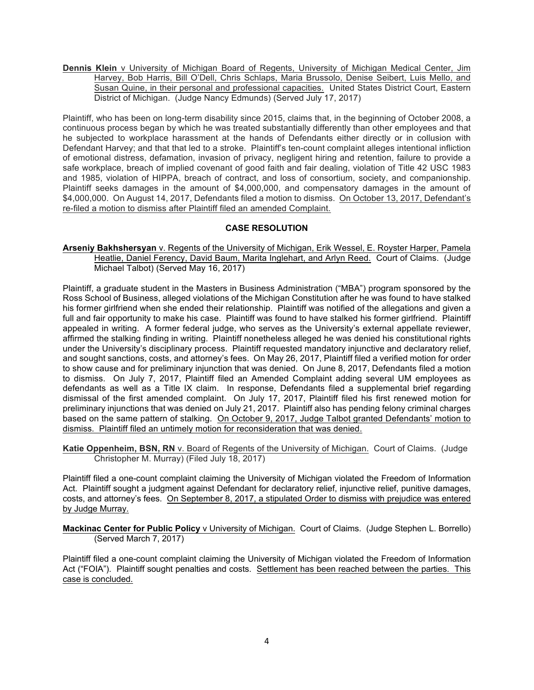**Dennis Klein** v University of Michigan Board of Regents, University of Michigan Medical Center, Jim Harvey, Bob Harris, Bill O'Dell, Chris Schlaps, Maria Brussolo, Denise Seibert, Luis Mello, and Susan Quine, in their personal and professional capacities. United States District Court, Eastern District of Michigan. (Judge Nancy Edmunds) (Served July 17, 2017)

Plaintiff, who has been on long-term disability since 2015, claims that, in the beginning of October 2008, a continuous process began by which he was treated substantially differently than other employees and that he subjected to workplace harassment at the hands of Defendants either directly or in collusion with Defendant Harvey; and that that led to a stroke. Plaintiff's ten-count complaint alleges intentional infliction of emotional distress, defamation, invasion of privacy, negligent hiring and retention, failure to provide a safe workplace, breach of implied covenant of good faith and fair dealing, violation of Title 42 USC 1983 and 1985, violation of HIPPA, breach of contract, and loss of consortium, society, and companionship. Plaintiff seeks damages in the amount of \$4,000,000, and compensatory damages in the amount of \$4,000,000. On August 14, 2017, Defendants filed a motion to dismiss. On October 13, 2017, Defendant's re-filed a motion to dismiss after Plaintiff filed an amended Complaint.

# **CASE RESOLUTION**

**Arseniy Bakhshersyan** v. Regents of the University of Michigan, Erik Wessel, E. Royster Harper, Pamela Heatlie, Daniel Ferency, David Baum, Marita Inglehart, and Arlyn Reed. Court of Claims. (Judge Michael Talbot) (Served May 16, 2017)

Plaintiff, a graduate student in the Masters in Business Administration ("MBA") program sponsored by the Ross School of Business, alleged violations of the Michigan Constitution after he was found to have stalked his former girlfriend when she ended their relationship. Plaintiff was notified of the allegations and given a full and fair opportunity to make his case. Plaintiff was found to have stalked his former girlfriend. Plaintiff appealed in writing. A former federal judge, who serves as the University's external appellate reviewer, affirmed the stalking finding in writing. Plaintiff nonetheless alleged he was denied his constitutional rights under the University's disciplinary process. Plaintiff requested mandatory injunctive and declaratory relief, and sought sanctions, costs, and attorney's fees. On May 26, 2017, Plaintiff filed a verified motion for order to show cause and for preliminary injunction that was denied. On June 8, 2017, Defendants filed a motion to dismiss. On July 7, 2017, Plaintiff filed an Amended Complaint adding several UM employees as defendants as well as a Title IX claim. In response, Defendants filed a supplemental brief regarding dismissal of the first amended complaint. On July 17, 2017, Plaintiff filed his first renewed motion for preliminary injunctions that was denied on July 21, 2017. Plaintiff also has pending felony criminal charges based on the same pattern of stalking. On October 9, 2017, Judge Talbot granted Defendants' motion to dismiss. Plaintiff filed an untimely motion for reconsideration that was denied.

**Katie Oppenheim, BSN, RN** v. Board of Regents of the University of Michigan. Court of Claims. (Judge Christopher M. Murray) (Filed July 18, 2017)

Plaintiff filed a one-count complaint claiming the University of Michigan violated the Freedom of Information Act. Plaintiff sought a judgment against Defendant for declaratory relief, injunctive relief, punitive damages, costs, and attorney's fees. On September 8, 2017, a stipulated Order to dismiss with prejudice was entered by Judge Murray.

**Mackinac Center for Public Policy** v University of Michigan. Court of Claims. (Judge Stephen L. Borrello) (Served March 7, 2017)

Plaintiff filed a one-count complaint claiming the University of Michigan violated the Freedom of Information Act ("FOIA"). Plaintiff sought penalties and costs. Settlement has been reached between the parties. This case is concluded.